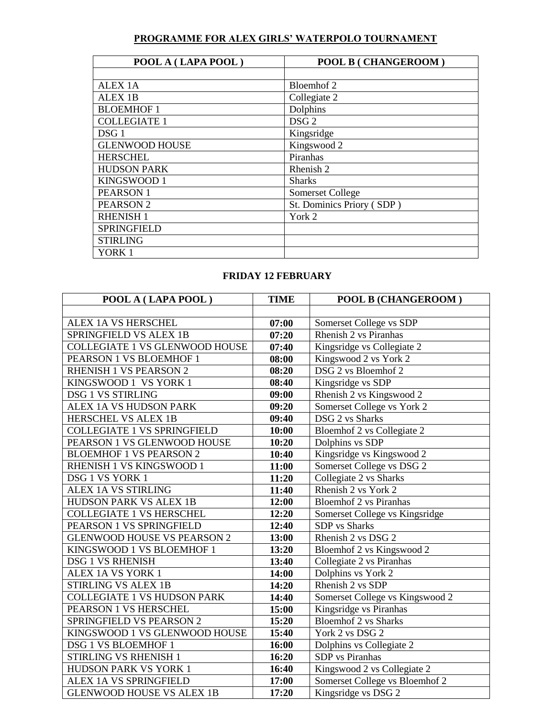## **PROGRAMME FOR ALEX GIRLS' WATERPOLO TOURNAMENT**

| POOL A (LAPA POOL)    | <b>POOL B (CHANGEROOM)</b> |  |  |
|-----------------------|----------------------------|--|--|
|                       |                            |  |  |
| <b>ALEX 1A</b>        | Bloemhof 2                 |  |  |
| <b>ALEX 1B</b>        | Collegiate 2               |  |  |
| <b>BLOEMHOF 1</b>     | Dolphins                   |  |  |
| <b>COLLEGIATE 1</b>   | DSG <sub>2</sub>           |  |  |
| DSG <sub>1</sub>      | Kingsridge                 |  |  |
| <b>GLENWOOD HOUSE</b> | Kingswood 2                |  |  |
| <b>HERSCHEL</b>       | Piranhas                   |  |  |
| <b>HUDSON PARK</b>    | Rhenish 2                  |  |  |
| KINGSWOOD 1           | <b>Sharks</b>              |  |  |
| <b>PEARSON1</b>       | Somerset College           |  |  |
| PEARSON <sub>2</sub>  | St. Dominics Priory (SDP)  |  |  |
| <b>RHENISH 1</b>      | York 2                     |  |  |
| <b>SPRINGFIELD</b>    |                            |  |  |
| <b>STIRLING</b>       |                            |  |  |
| YORK 1                |                            |  |  |

## **FRIDAY 12 FEBRUARY**

| POOL A (LAPA POOL)                 | <b>TIME</b> | <b>POOL B (CHANGEROOM)</b>      |
|------------------------------------|-------------|---------------------------------|
|                                    |             |                                 |
| ALEX 1A VS HERSCHEL                | 07:00       | Somerset College vs SDP         |
| SPRINGFIELD VS ALEX 1B             | 07:20       | Rhenish 2 vs Piranhas           |
| COLLEGIATE 1 VS GLENWOOD HOUSE     | 07:40       | Kingsridge vs Collegiate 2      |
| PEARSON 1 VS BLOEMHOF 1            | 08:00       | Kingswood 2 vs York 2           |
| <b>RHENISH 1 VS PEARSON 2</b>      | 08:20       | DSG 2 vs Bloemhof 2             |
| KINGSWOOD 1 VS YORK 1              | 08:40       | Kingsridge vs SDP               |
| <b>DSG 1 VS STIRLING</b>           | 09:00       | Rhenish 2 vs Kingswood 2        |
| ALEX 1A VS HUDSON PARK             | 09:20       | Somerset College vs York 2      |
| HERSCHEL VS ALEX 1B                | 09:40       | DSG 2 vs Sharks                 |
| <b>COLLEGIATE 1 VS SPRINGFIELD</b> | 10:00       | Bloemhof 2 vs Collegiate 2      |
| PEARSON 1 VS GLENWOOD HOUSE        | 10:20       | Dolphins vs SDP                 |
| <b>BLOEMHOF 1 VS PEARSON 2</b>     | 10:40       | Kingsridge vs Kingswood 2       |
| RHENISH 1 VS KINGSWOOD 1           | 11:00       | Somerset College vs DSG 2       |
| DSG 1 VS YORK 1                    | 11:20       | Collegiate 2 vs Sharks          |
| <b>ALEX 1A VS STIRLING</b>         | 11:40       | Rhenish 2 vs York 2             |
| HUDSON PARK VS ALEX 1B             | 12:00       | <b>Bloemhof 2 vs Piranhas</b>   |
| <b>COLLEGIATE 1 VS HERSCHEL</b>    | 12:20       | Somerset College vs Kingsridge  |
| PEARSON 1 VS SPRINGFIELD           | 12:40       | <b>SDP</b> vs Sharks            |
| <b>GLENWOOD HOUSE VS PEARSON 2</b> | 13:00       | Rhenish 2 vs DSG 2              |
| KINGSWOOD 1 VS BLOEMHOF 1          | 13:20       | Bloemhof 2 vs Kingswood 2       |
| <b>DSG 1 VS RHENISH</b>            | 13:40       | Collegiate 2 vs Piranhas        |
| ALEX 1A VS YORK 1                  | 14:00       | Dolphins vs York 2              |
| <b>STIRLING VS ALEX 1B</b>         | 14:20       | Rhenish 2 vs SDP                |
| <b>COLLEGIATE 1 VS HUDSON PARK</b> | 14:40       | Somerset College vs Kingswood 2 |
| PEARSON 1 VS HERSCHEL              | 15:00       | Kingsridge vs Piranhas          |
| SPRINGFIELD VS PEARSON 2           | 15:20       | <b>Bloemhof 2 vs Sharks</b>     |
| KINGSWOOD 1 VS GLENWOOD HOUSE      | 15:40       | York 2 vs DSG 2                 |
| DSG 1 VS BLOEMHOF 1                | 16:00       | Dolphins vs Collegiate 2        |
| STIRLING VS RHENISH 1              | 16:20       | <b>SDP</b> vs Piranhas          |
| <b>HUDSON PARK VS YORK 1</b>       | 16:40       | Kingswood 2 vs Collegiate 2     |
| ALEX 1A VS SPRINGFIELD             | 17:00       | Somerset College vs Bloemhof 2  |
| <b>GLENWOOD HOUSE VS ALEX 1B</b>   | 17:20       | Kingsridge vs DSG 2             |